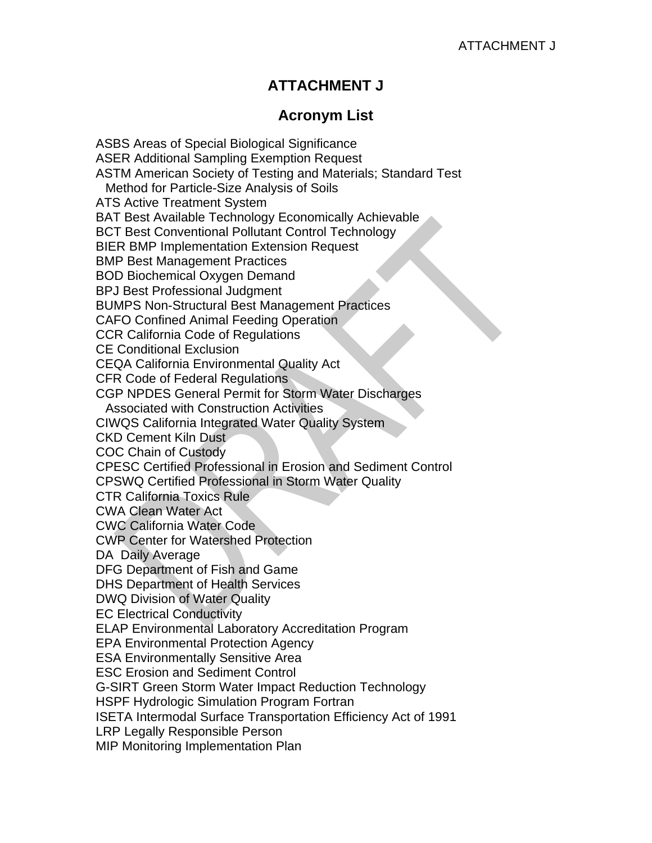## **ATTACHMENT J**

## **Acronym List**

ASBS Areas of Special Biological Significance ASER Additional Sampling Exemption Request ASTM American Society of Testing and Materials; Standard Test Method for Particle-Size Analysis of Soils ATS Active Treatment System BAT Best Available Technology Economically Achievable BCT Best Conventional Pollutant Control Technology BIER BMP Implementation Extension Request BMP Best Management Practices BOD Biochemical Oxygen Demand BPJ Best Professional Judgment BUMPS Non-Structural Best Management Practices CAFO Confined Animal Feeding Operation CCR California Code of Regulations CE Conditional Exclusion CEQA California Environmental Quality Act CFR Code of Federal Regulations CGP NPDES General Permit for Storm Water Discharges Associated with Construction Activities CIWQS California Integrated Water Quality System CKD Cement Kiln Dust COC Chain of Custody CPESC Certified Professional in Erosion and Sediment Control CPSWQ Certified Professional in Storm Water Quality CTR California Toxics Rule CWA Clean Water Act CWC California Water Code CWP Center for Watershed Protection DA Daily Average DFG Department of Fish and Game DHS Department of Health Services DWQ Division of Water Quality EC Electrical Conductivity ELAP Environmental Laboratory Accreditation Program EPA Environmental Protection Agency ESA Environmentally Sensitive Area ESC Erosion and Sediment Control G-SIRT Green Storm Water Impact Reduction Technology HSPF Hydrologic Simulation Program Fortran ISETA Intermodal Surface Transportation Efficiency Act of 1991 LRP Legally Responsible Person MIP Monitoring Implementation Plan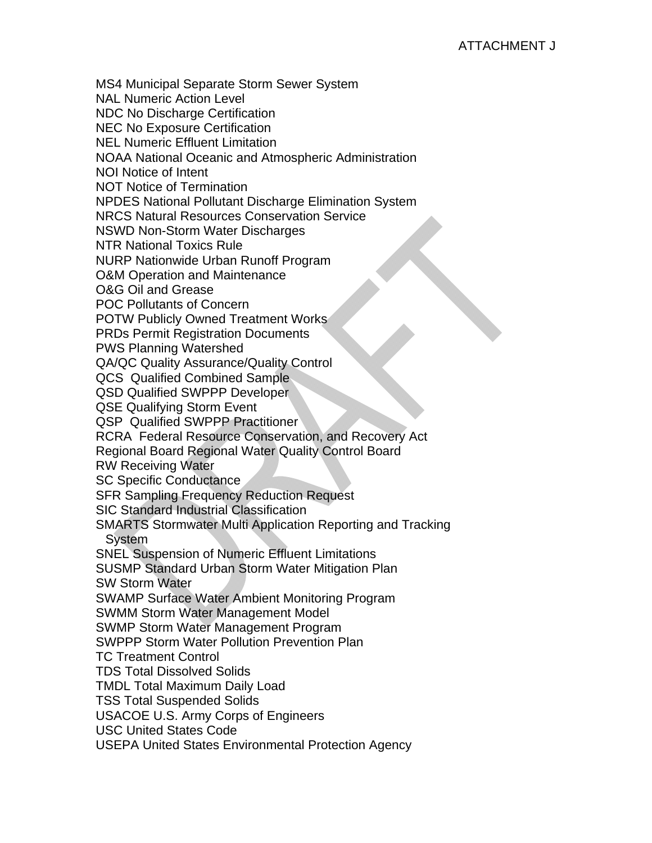MS4 Municipal Separate Storm Sewer System NAL Numeric Action Level NDC No Discharge Certification NEC No Exposure Certification NEL Numeric Effluent Limitation NOAA National Oceanic and Atmospheric Administration NOI Notice of Intent NOT Notice of Termination NPDES National Pollutant Discharge Elimination System NRCS Natural Resources Conservation Service NSWD Non-Storm Water Discharges NTR National Toxics Rule NURP Nationwide Urban Runoff Program O&M Operation and Maintenance O&G Oil and Grease POC Pollutants of Concern POTW Publicly Owned Treatment Works PRDs Permit Registration Documents PWS Planning Watershed QA/QC Quality Assurance/Quality Control QCS Qualified Combined Sample QSD Qualified SWPPP Developer QSE Qualifying Storm Event QSP Qualified SWPPP Practitioner RCRA Federal Resource Conservation, and Recovery Act Regional Board Regional Water Quality Control Board RW Receiving Water SC Specific Conductance SFR Sampling Frequency Reduction Request SIC Standard Industrial Classification SMARTS Stormwater Multi Application Reporting and Tracking **System** SNEL Suspension of Numeric Effluent Limitations SUSMP Standard Urban Storm Water Mitigation Plan SW Storm Water SWAMP Surface Water Ambient Monitoring Program SWMM Storm Water Management Model SWMP Storm Water Management Program SWPPP Storm Water Pollution Prevention Plan TC Treatment Control TDS Total Dissolved Solids TMDL Total Maximum Daily Load TSS Total Suspended Solids USACOE U.S. Army Corps of Engineers USC United States Code USEPA United States Environmental Protection Agency